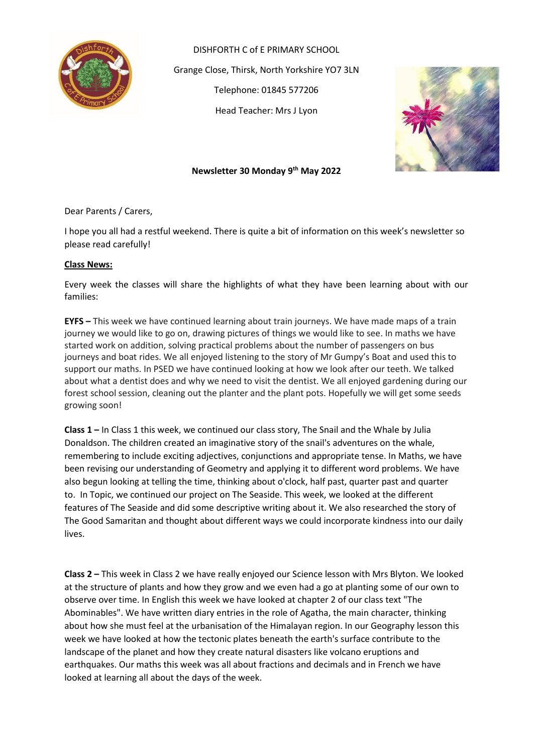

DISHFORTH C of E PRIMARY SCHOOL Grange Close, Thirsk, North Yorkshire YO7 3LN Telephone: 01845 577206 Head Teacher: Mrs J Lyon



# **Newsletter 30 Monday 9th May 2022**

Dear Parents / Carers,

I hope you all had a restful weekend. There is quite a bit of information on this week's newsletter so please read carefully!

#### **Class News:**

Every week the classes will share the highlights of what they have been learning about with our families:

**EYFS –** This week we have continued learning about train journeys. We have made maps of a train journey we would like to go on, drawing pictures of things we would like to see. In maths we have started work on addition, solving practical problems about the number of passengers on bus journeys and boat rides. We all enjoyed listening to the story of Mr Gumpy's Boat and used this to support our maths. In PSED we have continued looking at how we look after our teeth. We talked about what a dentist does and why we need to visit the dentist. We all enjoyed gardening during our forest school session, cleaning out the planter and the plant pots. Hopefully we will get some seeds growing soon!

**Class 1 –** In Class 1 this week, we continued our class story, The Snail and the Whale by Julia Donaldson. The children created an imaginative story of the snail's adventures on the whale, remembering to include exciting adjectives, conjunctions and appropriate tense. In Maths, we have been revising our understanding of Geometry and applying it to different word problems. We have also begun looking at telling the time, thinking about o'clock, half past, quarter past and quarter to. In Topic, we continued our project on The Seaside. This week, we looked at the different features of The Seaside and did some descriptive writing about it. We also researched the story of The Good Samaritan and thought about different ways we could incorporate kindness into our daily lives.

**Class 2 –** This week in Class 2 we have really enjoyed our Science lesson with Mrs Blyton. We looked at the structure of plants and how they grow and we even had a go at planting some of our own to observe over time. In English this week we have looked at chapter 2 of our class text "The Abominables". We have written diary entries in the role of Agatha, the main character, thinking about how she must feel at the urbanisation of the Himalayan region. In our Geography lesson this week we have looked at how the tectonic plates beneath the earth's surface contribute to the landscape of the planet and how they create natural disasters like volcano eruptions and earthquakes. Our maths this week was all about fractions and decimals and in French we have looked at learning all about the days of the week.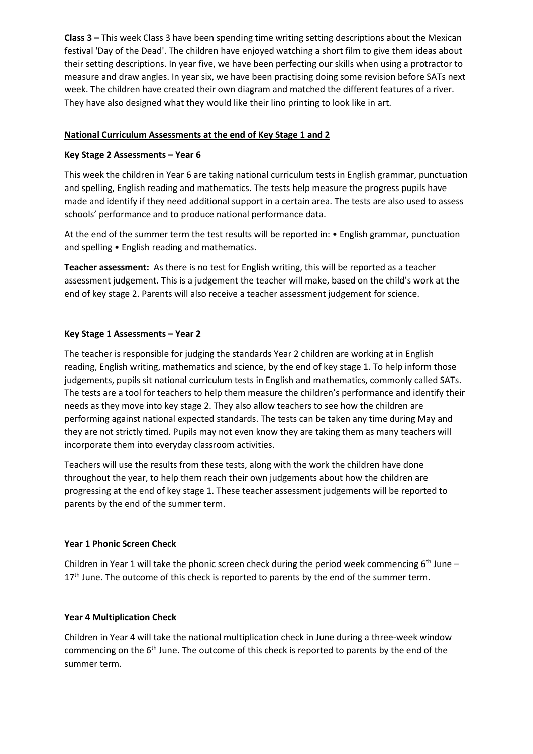**Class 3 –** This week Class 3 have been spending time writing setting descriptions about the Mexican festival 'Day of the Dead'. The children have enjoyed watching a short film to give them ideas about their setting descriptions. In year five, we have been perfecting our skills when using a protractor to measure and draw angles. In year six, we have been practising doing some revision before SATs next week. The children have created their own diagram and matched the different features of a river. They have also designed what they would like their lino printing to look like in art.

# **National Curriculum Assessments at the end of Key Stage 1 and 2**

#### **Key Stage 2 Assessments – Year 6**

This week the children in Year 6 are taking national curriculum tests in English grammar, punctuation and spelling, English reading and mathematics. The tests help measure the progress pupils have made and identify if they need additional support in a certain area. The tests are also used to assess schools' performance and to produce national performance data.

At the end of the summer term the test results will be reported in: • English grammar, punctuation and spelling • English reading and mathematics.

**Teacher assessment:** As there is no test for English writing, this will be reported as a teacher assessment judgement. This is a judgement the teacher will make, based on the child's work at the end of key stage 2. Parents will also receive a teacher assessment judgement for science.

#### **Key Stage 1 Assessments – Year 2**

The teacher is responsible for judging the standards Year 2 children are working at in English reading, English writing, mathematics and science, by the end of key stage 1. To help inform those judgements, pupils sit national curriculum tests in English and mathematics, commonly called SATs. The tests are a tool for teachers to help them measure the children's performance and identify their needs as they move into key stage 2. They also allow teachers to see how the children are performing against national expected standards. The tests can be taken any time during May and they are not strictly timed. Pupils may not even know they are taking them as many teachers will incorporate them into everyday classroom activities.

Teachers will use the results from these tests, along with the work the children have done throughout the year, to help them reach their own judgements about how the children are progressing at the end of key stage 1. These teacher assessment judgements will be reported to parents by the end of the summer term.

#### **Year 1 Phonic Screen Check**

Children in Year 1 will take the phonic screen check during the period week commencing  $6<sup>th</sup>$  June – 17<sup>th</sup> June. The outcome of this check is reported to parents by the end of the summer term.

#### **Year 4 Multiplication Check**

Children in Year 4 will take the national multiplication check in June during a three-week window commencing on the  $6<sup>th</sup>$  June. The outcome of this check is reported to parents by the end of the summer term.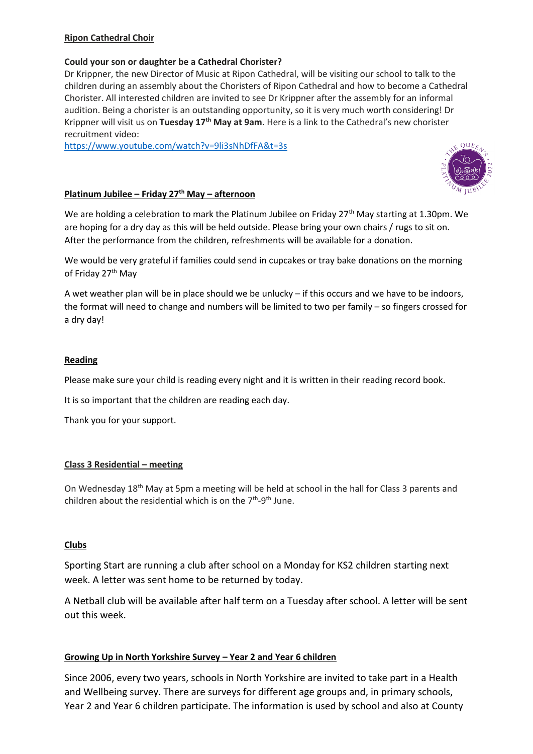# **Ripon Cathedral Choir**

# **Could your son or daughter be a Cathedral Chorister?**

Dr Krippner, the new Director of Music at Ripon Cathedral, will be visiting our school to talk to the children during an assembly about the Choristers of Ripon Cathedral and how to become a Cathedral Chorister. All interested children are invited to see Dr Krippner after the assembly for an informal audition. Being a chorister is an outstanding opportunity, so it is very much worth considering! Dr Krippner will visit us on **Tuesday 17th May at 9am**. Here is a link to the Cathedral's new chorister recruitment video:

<https://www.youtube.com/watch?v=9li3sNhDfFA&t=3s>

## **Platinum Jubilee – Friday 27th May – afternoon**

We are holding a celebration to mark the Platinum Jubilee on Friday 27<sup>th</sup> May starting at 1.30pm. We are hoping for a dry day as this will be held outside. Please bring your own chairs / rugs to sit on. After the performance from the children, refreshments will be available for a donation.

We would be very grateful if families could send in cupcakes or tray bake donations on the morning of Friday 27<sup>th</sup> May

A wet weather plan will be in place should we be unlucky – if this occurs and we have to be indoors, the format will need to change and numbers will be limited to two per family – so fingers crossed for a dry day!

#### **Reading**

Please make sure your child is reading every night and it is written in their reading record book.

It is so important that the children are reading each day.

Thank you for your support.

#### **Class 3 Residential – meeting**

On Wednesday 18th May at 5pm a meeting will be held at school in the hall for Class 3 parents and children about the residential which is on the  $7<sup>th</sup>-9<sup>th</sup>$  June.

# **Clubs**

Sporting Start are running a club after school on a Monday for KS2 children starting next week. A letter was sent home to be returned by today.

A Netball club will be available after half term on a Tuesday after school. A letter will be sent out this week.

# **Growing Up in North Yorkshire Survey – Year 2 and Year 6 children**

Since 2006, every two years, schools in North Yorkshire are invited to take part in a Health and Wellbeing survey. There are surveys for different age groups and, in primary schools, Year 2 and Year 6 children participate. The information is used by school and also at County

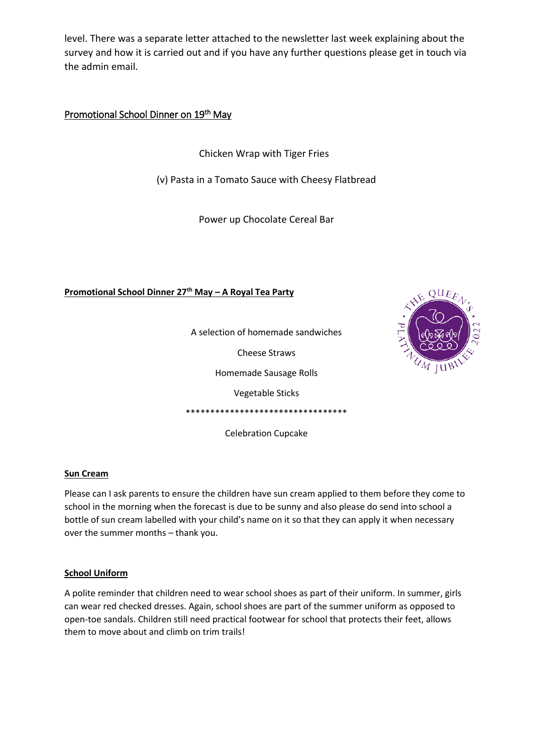level. There was a separate letter attached to the newsletter last week explaining about the survey and how it is carried out and if you have any further questions please get in touch via the admin email.

Promotional School Dinner on 19<sup>th</sup> May

Chicken Wrap with Tiger Fries

(v) Pasta in a Tomato Sauce with Cheesy Flatbread

Power up Chocolate Cereal Bar

**Promotional School Dinner 27th May – A Royal Tea Party**



A selection of homemade sandwiches

Cheese Straws

Homemade Sausage Rolls

Vegetable Sticks

\*\*\*\*\*\*\*\*\*\*\*\*\*\*\*\*\*\*\*\*\*\*\*\*\*\*\*\*\*\*\*\*\*

Celebration Cupcake

# **Sun Cream**

Please can I ask parents to ensure the children have sun cream applied to them before they come to school in the morning when the forecast is due to be sunny and also please do send into school a bottle of sun cream labelled with your child's name on it so that they can apply it when necessary over the summer months – thank you.

# **School Uniform**

A polite reminder that children need to wear school shoes as part of their uniform. In summer, girls can wear red checked dresses. Again, school shoes are part of the summer uniform as opposed to open-toe sandals. Children still need practical footwear for school that protects their feet, allows them to move about and climb on trim trails!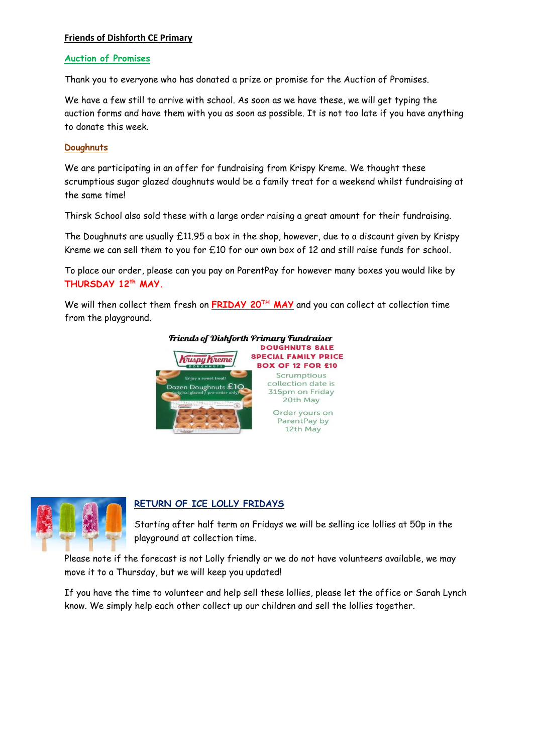## **Friends of Dishforth CE Primary**

#### **Auction of Promises**

Thank you to everyone who has donated a prize or promise for the Auction of Promises.

We have a few still to arrive with school. As soon as we have these, we will get typing the auction forms and have them with you as soon as possible. It is not too late if you have anything to donate this week.

# **Doughnuts**

We are participating in an offer for fundraising from Krispy Kreme. We thought these scrumptious sugar glazed doughnuts would be a family treat for a weekend whilst fundraising at the same time!

Thirsk School also sold these with a large order raising a great amount for their fundraising.

The Doughnuts are usually £11.95 a box in the shop, however, due to a discount given by Krispy Kreme we can sell them to you for £10 for our own box of 12 and still raise funds for school.

To place our order, please can you pay on ParentPay for however many boxes you would like by **THURSDAY 12th MAY.** 

We will then collect them fresh on **FRIDAY 20TH MAY** and you can collect at collection time from the playground.





# **RETURN OF ICE LOLLY FRIDAYS**

Starting after half term on Fridays we will be selling ice lollies at 50p in the playground at collection time.

Please note if the forecast is not Lolly friendly or we do not have volunteers available, we may move it to a Thursday, but we will keep you updated!

If you have the time to volunteer and help sell these lollies, please let the office or Sarah Lynch know. We simply help each other collect up our children and sell the lollies together.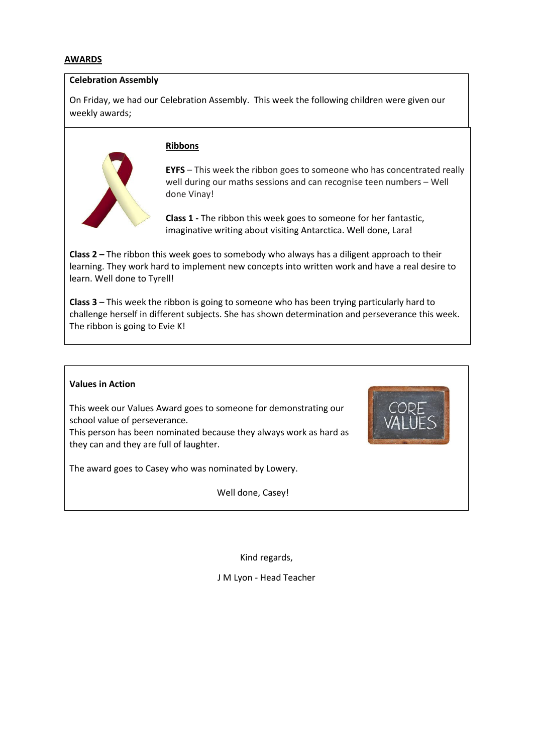#### **AWARDS**

#### **Celebration Assembly**

On Friday, we had our Celebration Assembly. This week the following children were given our weekly awards;

# **Ribbons**

**EYFS** – This week the ribbon goes to someone who has concentrated really well during our maths sessions and can recognise teen numbers – Well done Vinay!

**Class 1 -** The ribbon this week goes to someone for her fantastic, imaginative writing about visiting Antarctica. Well done, Lara!

**Class 2 –** The ribbon this week goes to somebody who always has a diligent approach to their learning. They work hard to implement new concepts into written work and have a real desire to learn. Well done to Tyrell!

**Class 3** – This week the ribbon is going to someone who has been trying particularly hard to challenge herself in different subjects. She has shown determination and perseverance this week. The ribbon is going to Evie K!

# **Values in Action**  This week our Values Award goes to someone for demonstrating our school value of perseverance. This person has been nominated because they always work as hard as they can and they are full of laughter. The award goes to Casey who was nominated by Lowery. Well done, Casey!

Kind regards,

J M Lyon - Head Teacher